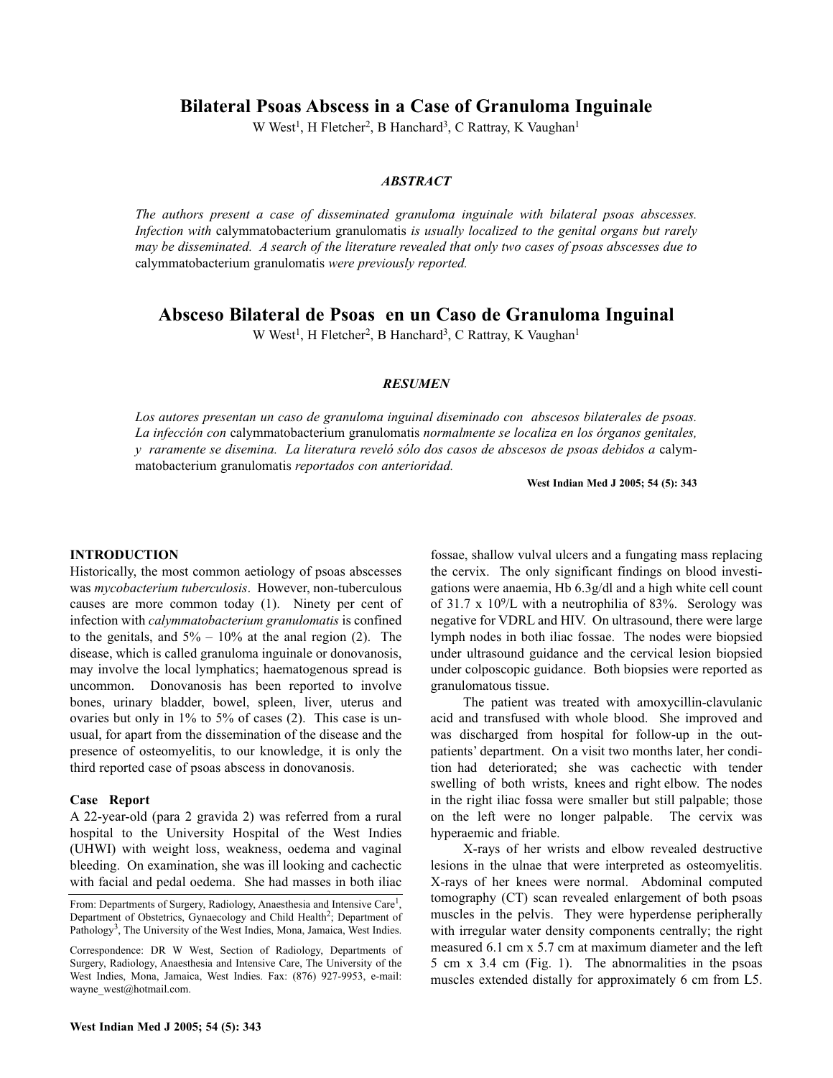**Bilateral Psoas Abscess in a Case of Granuloma Inguinale**

W West<sup>1</sup>, H Fletcher<sup>2</sup>, B Hanchard<sup>3</sup>, C Rattray, K Vaughan<sup>1</sup>

## *ABSTRACT*

*The authors present a case of disseminated granuloma inguinale with bilateral psoas abscesses. Infection with* calymmatobacterium granulomatis *is usually localized to the genital organs but rarely may be disseminated. A search of the literature revealed that only two cases of psoas abscesses due to* calymmatobacterium granulomatis *were previously reported.*

# **Absceso Bilateral de Psoas en un Caso de Granuloma Inguinal**

W West<sup>1</sup>, H Fletcher<sup>2</sup>, B Hanchard<sup>3</sup>, C Rattray, K Vaughan<sup>1</sup>

#### *RESUMEN*

*Los autores presentan un caso de granuloma inguinal diseminado con abscesos bilaterales de psoas. La infección con* calymmatobacterium granulomatis *normalmente se localiza en los órganos genitales, y raramente se disemina. La literatura reveló sólo dos casos de abscesos de psoas debidos a* calymmatobacterium granulomatis *reportados con anterioridad.*

**West Indian Med J 2005; 54 (5): 343**

## **INTRODUCTION**

Historically, the most common aetiology of psoas abscesses was *mycobacterium tuberculosis*. However, non-tuberculous causes are more common today (1). Ninety per cent of infection with *calymmatobacterium granulomatis* is confined to the genitals, and  $5\% - 10\%$  at the anal region (2). The disease, which is called granuloma inguinale or donovanosis, may involve the local lymphatics; haematogenous spread is uncommon. Donovanosis has been reported to involve bones, urinary bladder, bowel, spleen, liver, uterus and ovaries but only in 1% to 5% of cases (2). This case is unusual, for apart from the dissemination of the disease and the presence of osteomyelitis, to our knowledge, it is only the third reported case of psoas abscess in donovanosis.

#### **Case Report**

A 22-year-old (para 2 gravida 2) was referred from a rural hospital to the University Hospital of the West Indies (UHWI) with weight loss, weakness, oedema and vaginal bleeding. On examination, she was ill looking and cachectic with facial and pedal oedema. She had masses in both iliac

fossae, shallow vulval ulcers and a fungating mass replacing the cervix. The only significant findings on blood investigations were anaemia, Hb 6.3g/dl and a high white cell count of 31.7 x  $10^9$ /L with a neutrophilia of 83%. Serology was negative for VDRL and HIV. On ultrasound, there were large lymph nodes in both iliac fossae. The nodes were biopsied under ultrasound guidance and the cervical lesion biopsied under colposcopic guidance. Both biopsies were reported as granulomatous tissue.

The patient was treated with amoxycillin-clavulanic acid and transfused with whole blood. She improved and was discharged from hospital for follow-up in the outpatients' department. On a visit two months later, her condition had deteriorated; she was cachectic with tender swelling of both wrists, knees and right elbow. The nodes in the right iliac fossa were smaller but still palpable; those on the left were no longer palpable. The cervix was hyperaemic and friable.

X-rays of her wrists and elbow revealed destructive lesions in the ulnae that were interpreted as osteomyelitis. X-rays of her knees were normal. Abdominal computed tomography (CT) scan revealed enlargement of both psoas muscles in the pelvis. They were hyperdense peripherally with irregular water density components centrally; the right measured 6.1 cm x 5.7 cm at maximum diameter and the left 5 cm x 3.4 cm (Fig. 1). The abnormalities in the psoas muscles extended distally for approximately 6 cm from L5.

From: Departments of Surgery, Radiology, Anaesthesia and Intensive Care<sup>1</sup>, Department of Obstetrics, Gynaecology and Child Health<sup>2</sup>; Department of Pathology<sup>3</sup>, The University of the West Indies, Mona, Jamaica, West Indies.

Correspondence: DR W West, Section of Radiology, Departments of Surgery, Radiology, Anaesthesia and Intensive Care, The University of the West Indies, Mona, Jamaica, West Indies. Fax: (876) 927-9953, e-mail: wayne\_west@hotmail.com.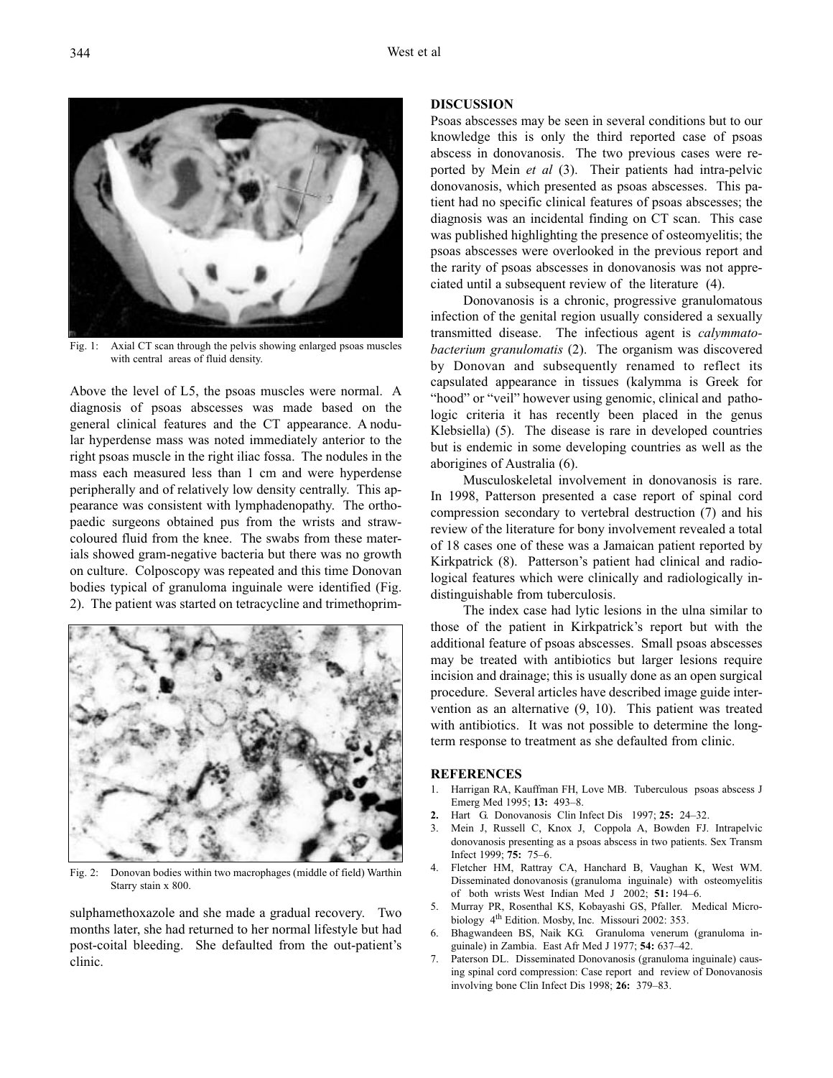Fig. 1: Axial CT scan through the pelvis showing enlarged psoas muscles with central areas of fluid density.

Above the level of L5, the psoas muscles were normal. A diagnosis of psoas abscesses was made based on the general clinical features and the CT appearance. A nodular hyperdense mass was noted immediately anterior to the right psoas muscle in the right iliac fossa. The nodules in the mass each measured less than 1 cm and were hyperdense peripherally and of relatively low density centrally. This appearance was consistent with lymphadenopathy. The orthopaedic surgeons obtained pus from the wrists and strawcoloured fluid from the knee. The swabs from these materials showed gram-negative bacteria but there was no growth on culture. Colposcopy was repeated and this time Donovan bodies typical of granuloma inguinale were identified (Fig. 2). The patient was started on tetracycline and trimethoprim-



Fig. 2: Donovan bodies within two macrophages (middle of field) Warthin Starry stain x 800.

sulphamethoxazole and she made a gradual recovery. Two months later, she had returned to her normal lifestyle but had post-coital bleeding. She defaulted from the out-patient's clinic.

## **DISCUSSION**

Psoas abscesses may be seen in several conditions but to our knowledge this is only the third reported case of psoas abscess in donovanosis. The two previous cases were reported by Mein *et al* (3). Their patients had intra-pelvic donovanosis, which presented as psoas abscesses. This patient had no specific clinical features of psoas abscesses; the diagnosis was an incidental finding on CT scan. This case was published highlighting the presence of osteomyelitis; the psoas abscesses were overlooked in the previous report and the rarity of psoas abscesses in donovanosis was not appreciated until a subsequent review of the literature (4).

Donovanosis is a chronic, progressive granulomatous infection of the genital region usually considered a sexually transmitted disease. The infectious agent is *calymmatobacterium granulomatis* (2). The organism was discovered by Donovan and subsequently renamed to reflect its capsulated appearance in tissues (kalymma is Greek for "hood" or "veil" however using genomic, clinical and pathologic criteria it has recently been placed in the genus Klebsiella) (5). The disease is rare in developed countries but is endemic in some developing countries as well as the aborigines of Australia (6).

Musculoskeletal involvement in donovanosis is rare. In 1998, Patterson presented a case report of spinal cord compression secondary to vertebral destruction (7) and his review of the literature for bony involvement revealed a total of 18 cases one of these was a Jamaican patient reported by Kirkpatrick (8). Patterson's patient had clinical and radiological features which were clinically and radiologically indistinguishable from tuberculosis.

The index case had lytic lesions in the ulna similar to those of the patient in Kirkpatrick's report but with the additional feature of psoas abscesses. Small psoas abscesses may be treated with antibiotics but larger lesions require incision and drainage; this is usually done as an open surgical procedure. Several articles have described image guide intervention as an alternative (9, 10). This patient was treated with antibiotics. It was not possible to determine the longterm response to treatment as she defaulted from clinic.

#### **REFERENCES**

- 1. Harrigan RA, Kauffman FH, Love MB. Tuberculous psoas abscess J Emerg Med 1995; **13:** 493–8.
- **2.** Hart G. Donovanosis Clin Infect Dis 1997; **25:** 24–32.
- 3. Mein J, Russell C, Knox J, Coppola A, Bowden FJ. Intrapelvic donovanosis presenting as a psoas abscess in two patients. Sex Transm Infect 1999; **75:** 75–6.
- 4. Fletcher HM, Rattray CA, Hanchard B, Vaughan K, West WM. Disseminated donovanosis (granuloma inguinale) with osteomyelitis of both wrists West Indian Med J 2002; **51:** 194–6.
- 5. Murray PR, Rosenthal KS, Kobayashi GS, Pfaller. Medical Microbiology 4<sup>th</sup> Edition. Mosby, Inc. Missouri 2002: 353.
- 6. Bhagwandeen BS, Naik KG. Granuloma venerum (granuloma inguinale) in Zambia. East Afr Med J 1977; **54:** 637–42.
- 7. Paterson DL. Disseminated Donovanosis (granuloma inguinale) causing spinal cord compression: Case report and review of Donovanosis involving bone Clin Infect Dis 1998; **26:** 379–83.